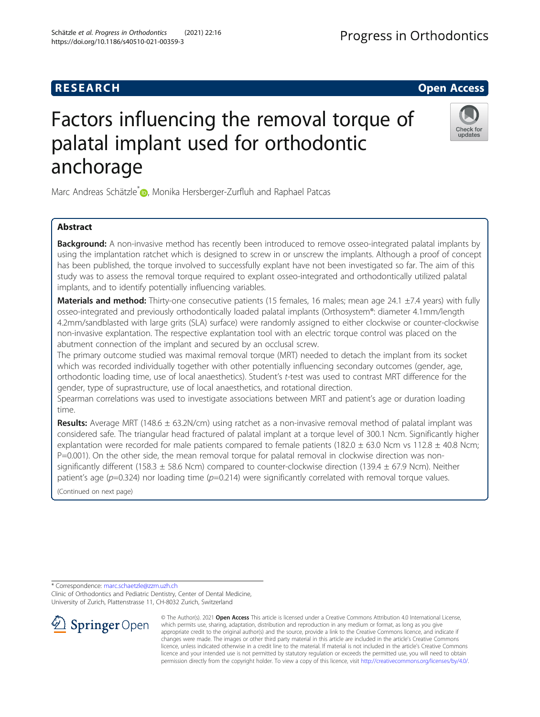# Factors influencing the removal torque of palatal implant used for orthodontic anchorage

Marc Andreas Schätzle<sup>[\\*](http://orcid.org/0000-0003-2019-5223)</sup> , Monika Hersberger-Zurfluh and Raphael Patcas

# Abstract

Background: A non-invasive method has recently been introduced to remove osseo-integrated palatal implants by using the implantation ratchet which is designed to screw in or unscrew the implants. Although a proof of concept has been published, the torque involved to successfully explant have not been investigated so far. The aim of this study was to assess the removal torque required to explant osseo-integrated and orthodontically utilized palatal implants, and to identify potentially influencing variables.

Materials and method: Thirty-one consecutive patients (15 females, 16 males; mean age 24.1 ±7.4 years) with fully osseo-integrated and previously orthodontically loaded palatal implants (Orthosystem®: diameter 4.1mm/length 4.2mm/sandblasted with large grits (SLA) surface) were randomly assigned to either clockwise or counter-clockwise non-invasive explantation. The respective explantation tool with an electric torque control was placed on the abutment connection of the implant and secured by an occlusal screw.

The primary outcome studied was maximal removal torque (MRT) needed to detach the implant from its socket which was recorded individually together with other potentially influencing secondary outcomes (gender, age, orthodontic loading time, use of local anaesthetics). Student'<sup>s</sup> t-test was used to contrast MRT difference for the gender, type of suprastructure, use of local anaesthetics, and rotational direction.

Spearman correlations was used to investigate associations between MRT and patient's age or duration loading time.

Results: Average MRT (148.6 ± 63.2N/cm) using ratchet as a non-invasive removal method of palatal implant was considered safe. The triangular head fractured of palatal implant at a torque level of 300.1 Ncm. Significantly higher explantation were recorded for male patients compared to female patients (182.0  $\pm$  63.0 Ncm vs 112.8  $\pm$  40.8 Ncm; P=0.001). On the other side, the mean removal torque for palatal removal in clockwise direction was nonsignificantly different (158.3  $\pm$  58.6 Ncm) compared to counter-clockwise direction (139.4  $\pm$  67.9 Ncm). Neither patient's age ( $p=0.324$ ) nor loading time ( $p=0.214$ ) were significantly correlated with removal torque values.

(Continued on next page)

\* Correspondence: [marc.schaetzle@zzm.uzh.ch](mailto:marc.schaetzle@zzm.uzh.ch)

© The Author(s). 2021 Open Access This article is licensed under a Creative Commons Attribution 4.0 International License, which permits use, sharing, adaptation, distribution and reproduction in any medium or format, as long as you give appropriate credit to the original author(s) and the source, provide a link to the Creative Commons licence, and indicate if changes were made. The images or other third party material in this article are included in the article's Creative Commons licence, unless indicated otherwise in a credit line to the material. If material is not included in the article's Creative Commons licence and your intended use is not permitted by statutory regulation or exceeds the permitted use, you will need to obtain permission directly from the copyright holder. To view a copy of this licence, visit <http://creativecommons.org/licenses/by/4.0/>.

Clinic of Orthodontics and Pediatric Dentistry, Center of Dental Medicine, University of Zurich, Plattenstrasse 11, CH-8032 Zurich, Switzerland SpringerOpen





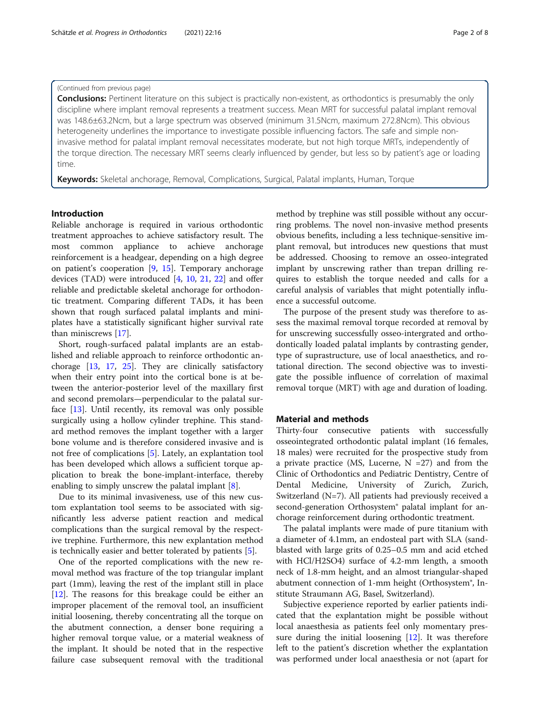#### (Continued from previous page)

**Conclusions:** Pertinent literature on this subject is practically non-existent, as orthodontics is presumably the only discipline where implant removal represents a treatment success. Mean MRT for successful palatal implant removal was 148.6±63.2Ncm, but a large spectrum was observed (minimum 31.5Ncm, maximum 272.8Ncm). This obvious heterogeneity underlines the importance to investigate possible influencing factors. The safe and simple noninvasive method for palatal implant removal necessitates moderate, but not high torque MRTs, independently of the torque direction. The necessary MRT seems clearly influenced by gender, but less so by patient's age or loading time.

Keywords: Skeletal anchorage, Removal, Complications, Surgical, Palatal implants, Human, Torque

#### Introduction

Reliable anchorage is required in various orthodontic treatment approaches to achieve satisfactory result. The most common appliance to achieve anchorage reinforcement is a headgear, depending on a high degree on patient's cooperation [[9,](#page-7-0) [15\]](#page-7-0). Temporary anchorage devices (TAD) were introduced [\[4](#page-7-0), [10,](#page-7-0) [21,](#page-7-0) [22](#page-7-0)] and offer reliable and predictable skeletal anchorage for orthodontic treatment. Comparing different TADs, it has been shown that rough surfaced palatal implants and miniplates have a statistically significant higher survival rate than miniscrews [[17](#page-7-0)].

Short, rough-surfaced palatal implants are an established and reliable approach to reinforce orthodontic anchorage [\[13](#page-7-0), [17](#page-7-0), [25\]](#page-7-0). They are clinically satisfactory when their entry point into the cortical bone is at between the anterior-posterior level of the maxillary first and second premolars—perpendicular to the palatal surface [[13](#page-7-0)]. Until recently, its removal was only possible surgically using a hollow cylinder trephine. This standard method removes the implant together with a larger bone volume and is therefore considered invasive and is not free of complications [[5](#page-7-0)]. Lately, an explantation tool has been developed which allows a sufficient torque application to break the bone-implant-interface, thereby enabling to simply unscrew the palatal implant [[8\]](#page-7-0).

Due to its minimal invasiveness, use of this new custom explantation tool seems to be associated with significantly less adverse patient reaction and medical complications than the surgical removal by the respective trephine. Furthermore, this new explantation method is technically easier and better tolerated by patients [\[5](#page-7-0)].

One of the reported complications with the new removal method was fracture of the top triangular implant part (1mm), leaving the rest of the implant still in place [[12\]](#page-7-0). The reasons for this breakage could be either an improper placement of the removal tool, an insufficient initial loosening, thereby concentrating all the torque on the abutment connection, a denser bone requiring a higher removal torque value, or a material weakness of the implant. It should be noted that in the respective failure case subsequent removal with the traditional method by trephine was still possible without any occurring problems. The novel non-invasive method presents obvious benefits, including a less technique-sensitive implant removal, but introduces new questions that must be addressed. Choosing to remove an osseo-integrated implant by unscrewing rather than trepan drilling requires to establish the torque needed and calls for a careful analysis of variables that might potentially influence a successful outcome.

The purpose of the present study was therefore to assess the maximal removal torque recorded at removal by for unscrewing successfully osseo-intergrated and orthodontically loaded palatal implants by contrasting gender, type of suprastructure, use of local anaesthetics, and rotational direction. The second objective was to investigate the possible influence of correlation of maximal removal torque (MRT) with age and duration of loading.

#### Material and methods

Thirty-four consecutive patients with successfully osseointegrated orthodontic palatal implant (16 females, 18 males) were recruited for the prospective study from a private practice (MS, Lucerne,  $N = 27$ ) and from the Clinic of Orthodontics and Pediatric Dentistry, Centre of Dental Medicine, University of Zurich, Zurich, Switzerland (N=7). All patients had previously received a second-generation Orthosystem® palatal implant for anchorage reinforcement during orthodontic treatment.

The palatal implants were made of pure titanium with a diameter of 4.1mm, an endosteal part with SLA (sandblasted with large grits of 0.25–0.5 mm and acid etched with HCl/H2SO4) surface of 4.2-mm length, a smooth neck of 1.8-mm height, and an almost triangular-shaped abutment connection of 1-mm height (Orthosystem®, Institute Straumann AG, Basel, Switzerland).

Subjective experience reported by earlier patients indicated that the explantation might be possible without local anaesthesia as patients feel only momentary pressure during the initial loosening  $[12]$  $[12]$ . It was therefore left to the patient's discretion whether the explantation was performed under local anaesthesia or not (apart for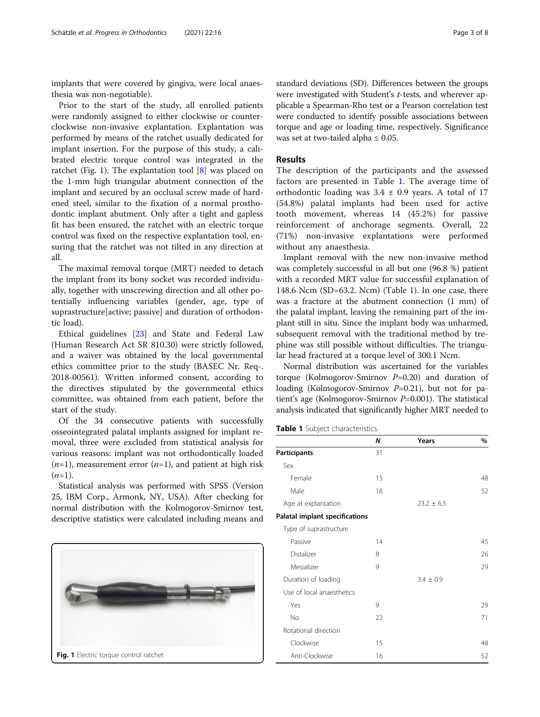implants that were covered by gingiva, were local anaesthesia was non-negotiable).

Prior to the start of the study, all enrolled patients were randomly assigned to either clockwise or counterclockwise non-invasive explantation. Explantation was performed by means of the ratchet usually dedicated for implant insertion. For the purpose of this study, a calibrated electric torque control was integrated in the ratchet (Fig. 1). The explantation tool [\[8](#page-7-0)] was placed on the 1-mm high triangular abutment connection of the implant and secured by an occlusal screw made of hardened steel, similar to the fixation of a normal prosthodontic implant abutment. Only after a tight and gapless fit has been ensured, the ratchet with an electric torque control was fixed on the respective explantation tool, ensuring that the ratchet was not tilted in any direction at all.

The maximal removal torque (MRT) needed to detach the implant from its bony socket was recorded individually, together with unscrewing direction and all other potentially influencing variables (gender, age, type of suprastructure[active; passive] and duration of orthodontic load).

Ethical guidelines [\[23](#page-7-0)] and State and Federal Law (Human Research Act SR 810.30) were strictly followed, and a waiver was obtained by the local governmental ethics committee prior to the study (BASEC Nr. Req-. 2018-00561). Written informed consent, according to the directives stipulated by the governmental ethics committee, was obtained from each patient, before the start of the study.

Of the 34 consecutive patients with successfully osseointegrated palatal implants assigned for implant removal, three were excluded from statistical analysis for various reasons: implant was not orthodontically loaded  $(n=1)$ , measurement error  $(n=1)$ , and patient at high risk  $(n=1)$ .

Statistical analysis was performed with SPSS (Version 25, IBM Corp., Armonk, NY, USA). After checking for normal distribution with the Kolmogorov-Smirnov test, descriptive statistics were calculated including means and



standard deviations (SD). Differences between the groups were investigated with Student's t-tests, and wherever applicable a Spearman-Rho test or a Pearson correlation test were conducted to identify possible associations between torque and age or loading time, respectively. Significance was set at two-tailed alpha  $\leq 0.05$ .

#### Results

The description of the participants and the assessed factors are presented in Table 1. The average time of orthodontic loading was  $3.4 \pm 0.9$  years. A total of 17 (54.8%) palatal implants had been used for active tooth movement, whereas 14 (45.2%) for passive reinforcement of anchorage segments. Overall, 22 (71%) non-invasive explantations were performed without any anaesthesia.

Implant removal with the new non-invasive method was completely successful in all but one (96.8 %) patient with a recorded MRT value for successful explanation of 148.6 Ncm (SD=63.2. Ncm) (Table 1). In one case, there was a fracture at the abutment connection (1 mm) of the palatal implant, leaving the remaining part of the implant still in situ. Since the implant body was unharmed, subsequent removal with the traditional method by trephine was still possible without difficulties. The triangular head fractured at a torque level of 300.1 Ncm.

Normal distribution was ascertained for the variables torque (Kolmogorov-Smirnov  $P=0.20$ ) and duration of loading (Kolmogorov-Smirnov  $P=0.21$ ), but not for patient's age (Kolmogorov-Smirnov  $P=0.001$ ). The statistical analysis indicated that significantly higher MRT needed to

| Table 1 Subject characteristics |  |
|---------------------------------|--|
|---------------------------------|--|

|                                       | N            | Years         | $\%$ |
|---------------------------------------|--------------|---------------|------|
| Participants                          | 31           |               |      |
| Sex                                   |              |               |      |
| Female                                | 15           |               | 48   |
| Male                                  | 16           |               | 52   |
| Age at explantation                   |              | $23.2 + 6.5$  |      |
| <b>Palatal implant specifications</b> |              |               |      |
| Type of suprastructure                |              |               |      |
| Passive                               | 14           |               | 45   |
| Distalizer                            | 8            |               | 26   |
| Mesializer                            | $\mathsf{Q}$ |               | 29   |
| Duration of loading                   |              | $3.4 \pm 0.9$ |      |
| Use of local anaesthetics             |              |               |      |
| Yes                                   | 9            |               | 29   |
| No                                    | 22           |               | 71   |
| Rotational direction                  |              |               |      |
| Clockwise                             | 15           |               | 48   |
| Anti-Clockwise                        | 16           |               | 52   |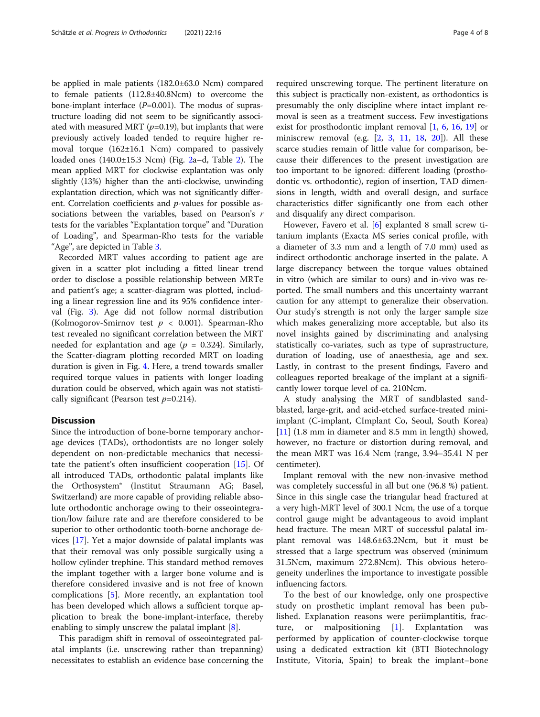be applied in male patients (182.0±63.0 Ncm) compared to female patients (112.8±40.8Ncm) to overcome the bone-implant interface  $(P=0.001)$ . The modus of suprastructure loading did not seem to be significantly associated with measured MRT ( $p=0.19$ ), but implants that were previously actively loaded tended to require higher removal torque (162±16.1 Ncm) compared to passively loaded ones  $(140.0 \pm 15.3 \text{ Ncm})$  (Fig. [2a](#page-4-0)–d, Table [2](#page-5-0)). The mean applied MRT for clockwise explantation was only slightly (13%) higher than the anti-clockwise, unwinding explantation direction, which was not significantly different. Correlation coefficients and p-values for possible associations between the variables, based on Pearson's r tests for the variables "Explantation torque" and "Duration of Loading", and Spearman-Rho tests for the variable "Age", are depicted in Table [3.](#page-5-0)

Recorded MRT values according to patient age are given in a scatter plot including a fitted linear trend order to disclose a possible relationship between MRTe and patient's age; a scatter-diagram was plotted, including a linear regression line and its 95% confidence interval (Fig. [3](#page-6-0)). Age did not follow normal distribution (Kolmogorov-Smirnov test  $p < 0.001$ ). Spearman-Rho test revealed no significant correlation between the MRT needed for explantation and age ( $p = 0.324$ ). Similarly, the Scatter-diagram plotting recorded MRT on loading duration is given in Fig. [4.](#page-6-0) Here, a trend towards smaller required torque values in patients with longer loading duration could be observed, which again was not statistically significant (Pearson test  $p=0.214$ ).

### **Discussion**

Since the introduction of bone-borne temporary anchorage devices (TADs), orthodontists are no longer solely dependent on non-predictable mechanics that necessitate the patient's often insufficient cooperation [[15\]](#page-7-0). Of all introduced TADs, orthodontic palatal implants like the Orthosystem® (Institut Straumann AG; Basel, Switzerland) are more capable of providing reliable absolute orthodontic anchorage owing to their osseointegration/low failure rate and are therefore considered to be superior to other orthodontic tooth-borne anchorage devices [[17\]](#page-7-0). Yet a major downside of palatal implants was that their removal was only possible surgically using a hollow cylinder trephine. This standard method removes the implant together with a larger bone volume and is therefore considered invasive and is not free of known complications [[5\]](#page-7-0). More recently, an explantation tool has been developed which allows a sufficient torque application to break the bone-implant-interface, thereby enabling to simply unscrew the palatal implant [[8\]](#page-7-0).

This paradigm shift in removal of osseointegrated palatal implants (i.e. unscrewing rather than trepanning) necessitates to establish an evidence base concerning the required unscrewing torque. The pertinent literature on this subject is practically non-existent, as orthodontics is presumably the only discipline where intact implant removal is seen as a treatment success. Few investigations exist for prosthodontic implant removal [[1,](#page-7-0) [6](#page-7-0), [16,](#page-7-0) [19](#page-7-0)] or miniscrew removal (e.g. [[2,](#page-7-0) [3](#page-7-0), [11,](#page-7-0) [18](#page-7-0), [20\]](#page-7-0)). All these scarce studies remain of little value for comparison, because their differences to the present investigation are too important to be ignored: different loading (prosthodontic vs. orthodontic), region of insertion, TAD dimensions in length, width and overall design, and surface characteristics differ significantly one from each other and disqualify any direct comparison.

However, Favero et al. [\[6](#page-7-0)] explanted 8 small screw titanium implants (Exacta MS series conical profile, with a diameter of 3.3 mm and a length of 7.0 mm) used as indirect orthodontic anchorage inserted in the palate. A large discrepancy between the torque values obtained in vitro (which are similar to ours) and in-vivo was reported. The small numbers and this uncertainty warrant caution for any attempt to generalize their observation. Our study's strength is not only the larger sample size which makes generalizing more acceptable, but also its novel insights gained by discriminating and analysing statistically co-variates, such as type of suprastructure, duration of loading, use of anaesthesia, age and sex. Lastly, in contrast to the present findings, Favero and colleagues reported breakage of the implant at a significantly lower torque level of ca. 210Ncm.

A study analysing the MRT of sandblasted sandblasted, large-grit, and acid-etched surface-treated miniimplant (C-implant, CImplant Co, Seoul, South Korea) [[11\]](#page-7-0) (1.8 mm in diameter and 8.5 mm in length) showed, however, no fracture or distortion during removal, and the mean MRT was 16.4 Ncm (range, 3.94–35.41 N per centimeter).

Implant removal with the new non-invasive method was completely successful in all but one (96.8 %) patient. Since in this single case the triangular head fractured at a very high-MRT level of 300.1 Ncm, the use of a torque control gauge might be advantageous to avoid implant head fracture. The mean MRT of successful palatal implant removal was 148.6±63.2Ncm, but it must be stressed that a large spectrum was observed (minimum 31.5Ncm, maximum 272.8Ncm). This obvious heterogeneity underlines the importance to investigate possible influencing factors.

To the best of our knowledge, only one prospective study on prosthetic implant removal has been published. Explanation reasons were periimplantitis, fracture, or malpositioning [\[1](#page-7-0)]. Explantation was performed by application of counter-clockwise torque using a dedicated extraction kit (BTI Biotechnology Institute, Vitoria, Spain) to break the implant–bone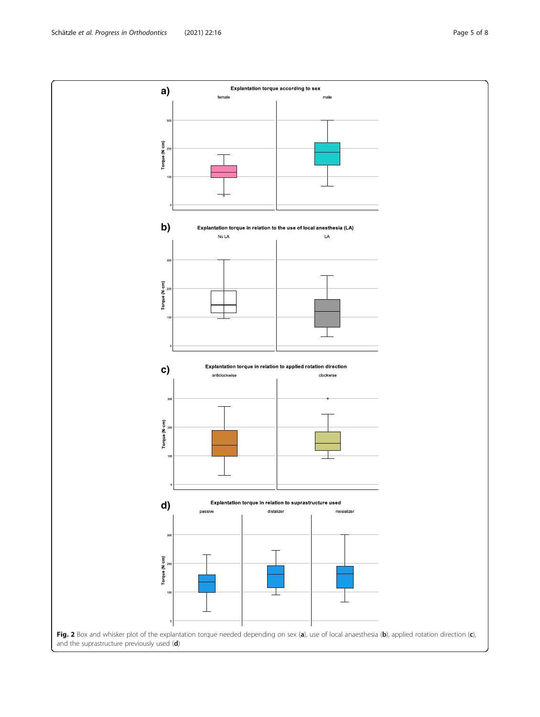<span id="page-4-0"></span>Schätzle et al. Progress in Orthodontics (2021) 22:16 Page 5 of 8

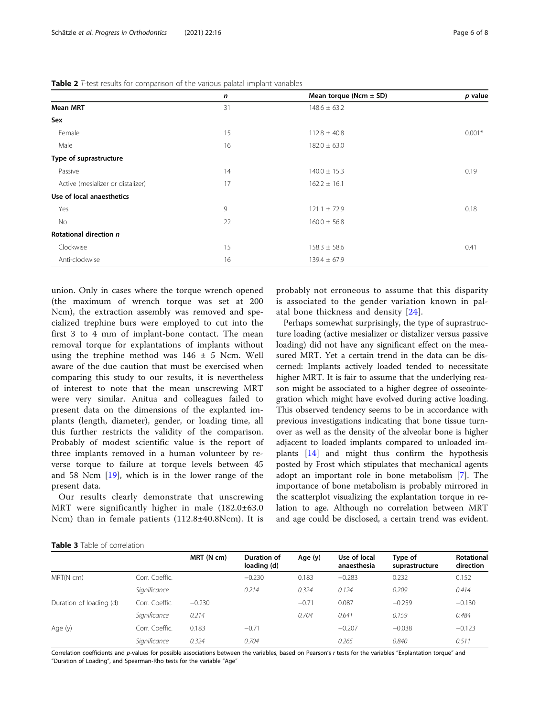|  |  |  |  |  | <b>Table 2</b> T-test results for comparison of the various palatal implant variables |  |
|--|--|--|--|--|---------------------------------------------------------------------------------------|--|
|--|--|--|--|--|---------------------------------------------------------------------------------------|--|

<span id="page-5-0"></span>

| Table 2 T-test results for comparison of the various palatal implant variables | n  | Mean torque (Ncm $\pm$ SD) | p value  |
|--------------------------------------------------------------------------------|----|----------------------------|----------|
| <b>Mean MRT</b>                                                                | 31 | $148.6 \pm 63.2$           |          |
| Sex                                                                            |    |                            |          |
| Female                                                                         | 15 | $112.8 \pm 40.8$           | $0.001*$ |
| Male                                                                           | 16 | $182.0 \pm 63.0$           |          |
| Type of suprastructure                                                         |    |                            |          |
| Passive                                                                        | 14 | $140.0 \pm 15.3$           | 0.19     |
| Active (mesializer or distalizer)                                              | 17 | $162.2 \pm 16.1$           |          |
| Use of local anaesthetics                                                      |    |                            |          |
| Yes                                                                            | 9  | $121.1 \pm 72.9$           | 0.18     |
| No                                                                             | 22 | $160.0 \pm 56.8$           |          |
| Rotational direction n                                                         |    |                            |          |
| Clockwise                                                                      | 15 | $158.3 \pm 58.6$           | 0.41     |
| Anti-clockwise                                                                 | 16 | $139.4 \pm 67.9$           |          |

union. Only in cases where the torque wrench opened (the maximum of wrench torque was set at 200 Ncm), the extraction assembly was removed and specialized trephine burs were employed to cut into the first 3 to 4 mm of implant-bone contact. The mean removal torque for explantations of implants without using the trephine method was  $146 \pm 5$  Ncm. Well aware of the due caution that must be exercised when comparing this study to our results, it is nevertheless of interest to note that the mean unscrewing MRT were very similar. Anitua and colleagues failed to present data on the dimensions of the explanted implants (length, diameter), gender, or loading time, all this further restricts the validity of the comparison. Probably of modest scientific value is the report of three implants removed in a human volunteer by reverse torque to failure at torque levels between 45 and 58 Ncm [[19](#page-7-0)], which is in the lower range of the present data.

Our results clearly demonstrate that unscrewing MRT were significantly higher in male (182.0±63.0 Ncm) than in female patients (112.8±40.8Ncm). It is

probably not erroneous to assume that this disparity is associated to the gender variation known in palatal bone thickness and density [[24](#page-7-0)].

Perhaps somewhat surprisingly, the type of suprastructure loading (active mesializer or distalizer versus passive loading) did not have any significant effect on the measured MRT. Yet a certain trend in the data can be discerned: Implants actively loaded tended to necessitate higher MRT. It is fair to assume that the underlying reason might be associated to a higher degree of osseointegration which might have evolved during active loading. This observed tendency seems to be in accordance with previous investigations indicating that bone tissue turnover as well as the density of the alveolar bone is higher adjacent to loaded implants compared to unloaded implants [\[14](#page-7-0)] and might thus confirm the hypothesis posted by Frost which stipulates that mechanical agents adopt an important role in bone metabolism [\[7](#page-7-0)]. The importance of bone metabolism is probably mirrored in the scatterplot visualizing the explantation torque in relation to age. Although no correlation between MRT and age could be disclosed, a certain trend was evident.

|  |  |  |  | <b>Table 3</b> Table of correlation |  |
|--|--|--|--|-------------------------------------|--|
|--|--|--|--|-------------------------------------|--|

|                         |                | MRT (N cm) | Duration of<br>loading (d) | Age (y) | Use of local<br>anaesthesia | Type of<br>suprastructure | <b>Rotational</b><br>direction |
|-------------------------|----------------|------------|----------------------------|---------|-----------------------------|---------------------------|--------------------------------|
| MRT(N cm)               | Corr. Coeffic. |            | $-0.230$                   | 0.183   | $-0.283$                    | 0.232                     | 0.152                          |
|                         | Significance   |            | 0.214                      | 0.324   | 0.124                       | 0.209                     | 0.414                          |
| Duration of loading (d) | Corr. Coeffic. | $-0.230$   |                            | $-0.71$ | 0.087                       | $-0.259$                  | $-0.130$                       |
|                         | Significance   | 0.214      |                            | 0.704   | 0.641                       | 0.159                     | 0.484                          |
| Age (y)                 | Corr. Coeffic. | 0.183      | $-0.71$                    |         | $-0.207$                    | $-0.038$                  | $-0.123$                       |
|                         | Significance   | 0.324      | 0.704                      |         | 0.265                       | 0.840                     | 0.511                          |

Explore 0.344 0.344<br>Correlation coefficients and p-values for possible associations between the variables, based on Pearson's r tests for the variables "Explantation torque" and "Duration of Loading", and Spearman-Rho tests for the variable "Age"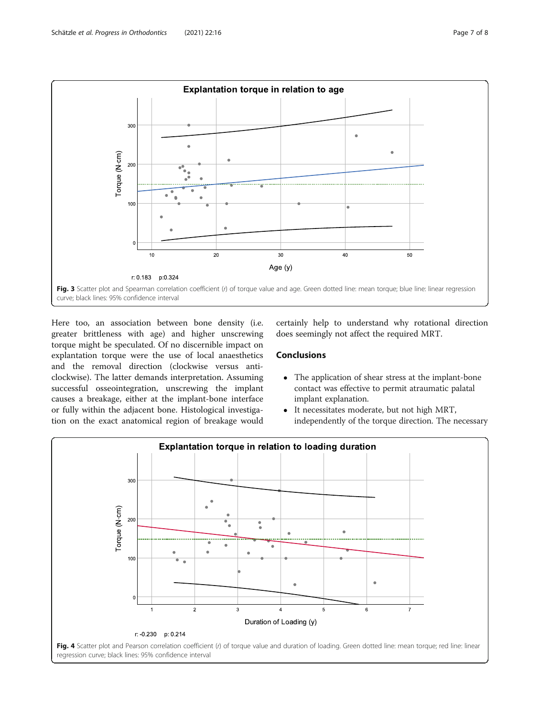<span id="page-6-0"></span>

Here too, an association between bone density (i.e. greater brittleness with age) and higher unscrewing torque might be speculated. Of no discernible impact on explantation torque were the use of local anaesthetics and the removal direction (clockwise versus anticlockwise). The latter demands interpretation. Assuming successful osseointegration, unscrewing the implant causes a breakage, either at the implant-bone interface or fully within the adjacent bone. Histological investigation on the exact anatomical region of breakage would

certainly help to understand why rotational direction does seemingly not affect the required MRT.

## **Conclusions**

- The application of shear stress at the implant-bone contact was effective to permit atraumatic palatal implant explanation.
- It necessitates moderate, but not high MRT, independently of the torque direction. The necessary